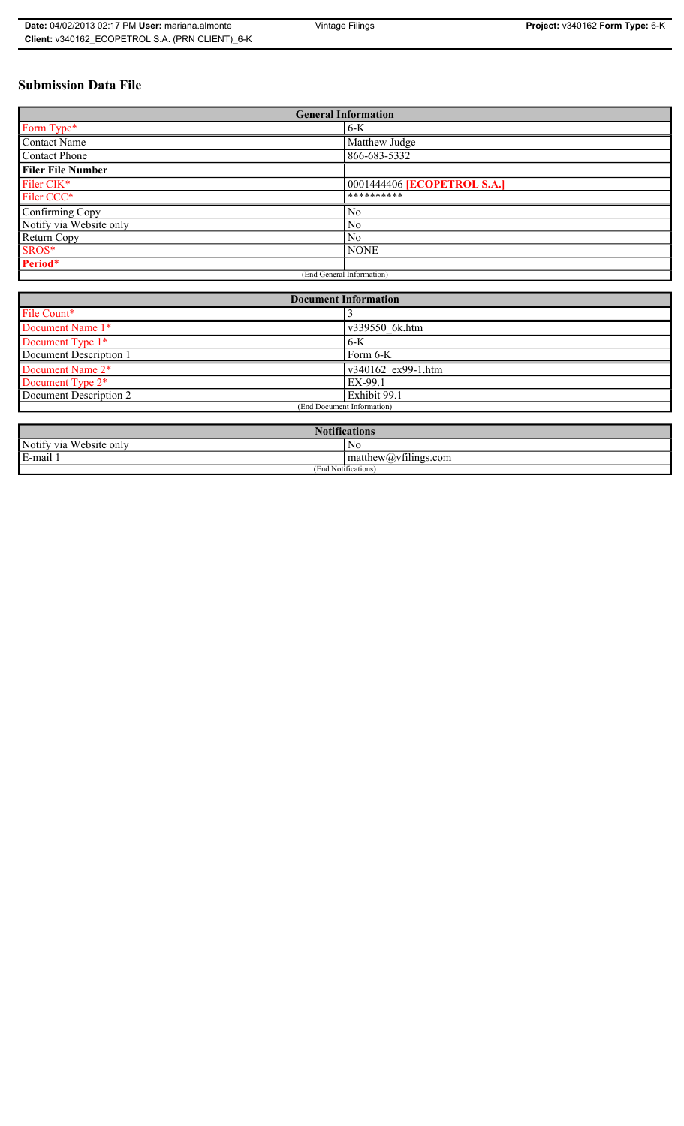## **Submission Data File**

| <b>General Information</b> |                                    |
|----------------------------|------------------------------------|
| Form Type*                 | $6-K$                              |
| <b>Contact Name</b>        | Matthew Judge                      |
| <b>Contact Phone</b>       | 866-683-5332                       |
| <b>Filer File Number</b>   |                                    |
| Filer CIK*                 | 0001444406 <b>[ECOPETROL S.A.]</b> |
| Filer CCC*                 | **********                         |
| Confirming Copy            | No                                 |
| Notify via Website only    | N <sub>0</sub>                     |
| Return Copy                | N <sub>0</sub>                     |
| SROS*                      | <b>NONE</b>                        |
| Period*                    |                                    |
| (End General Information)  |                                    |

| <b>Document Information</b>  |                    |
|------------------------------|--------------------|
| File Count*                  |                    |
| Document Name 1*             | v339550 6k.htm     |
| Document Type 1*             | $6-K$              |
| Document Description 1       | Form 6-K           |
| Document Name 2*             | v340162 ex99-1.htm |
| Document Type 2 <sup>*</sup> | EX-99.1            |
| Document Description 2       | Exhibit 99.1       |
| (End Document Information)   |                    |
|                              |                    |

| <b>Notifications</b>    |                      |
|-------------------------|----------------------|
| Notify via Website only | NG                   |
| E-mail 1                | matthew@vfilings.com |
| (End Notifications)     |                      |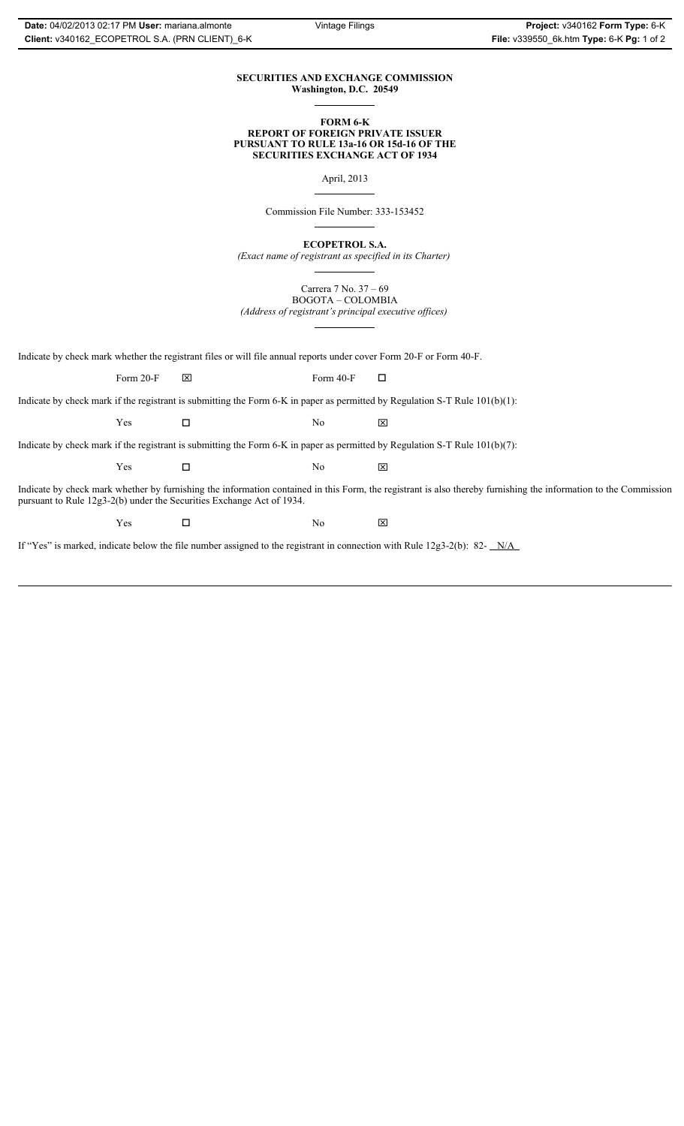#### **SECURITIES AND EXCHANGE COMMISSION Washington, D.C. 20549**

#### **FORM 6-K REPORT OF FOREIGN PRIVATE ISSUER PURSUANT TO RULE 13a-16 OR 15d-16 OF THE SECURITIES EXCHANGE ACT OF 1934**

April, 2013

Commission File Number: 333-153452

**ECOPETROL S.A.**

*(Exact name of registrant as specified in its Charter)*

Carrera 7 No. 37 – 69 BOGOTA – COLOMBIA

*(Address of registrant's principal executive offices)*

Indicate by check mark whether the registrant files or will file annual reports under cover Form 20-F or Form 40-F.

Form 20-F  $\boxtimes$  Form 40-F  $\Box$ 

Indicate by check mark if the registrant is submitting the Form 6-K in paper as permitted by Regulation S-T Rule 101(b)(1):

 $Yes$   $\Box$   $No$   $X$ 

Indicate by check mark if the registrant is submitting the Form 6-K in paper as permitted by Regulation S-T Rule 101(b)(7):

 $Yes$   $\Box$   $No$   $X$ 

Indicate by check mark whether by furnishing the information contained in this Form, the registrant is also thereby furnishing the information to the Commission pursuant to Rule 12g3-2(b) under the Securities Exchange Act of 1934.

 $Yes$   $\square$ 

If "Yes" is marked, indicate below the file number assigned to the registrant in connection with Rule 12g3-2(b): 82- N/A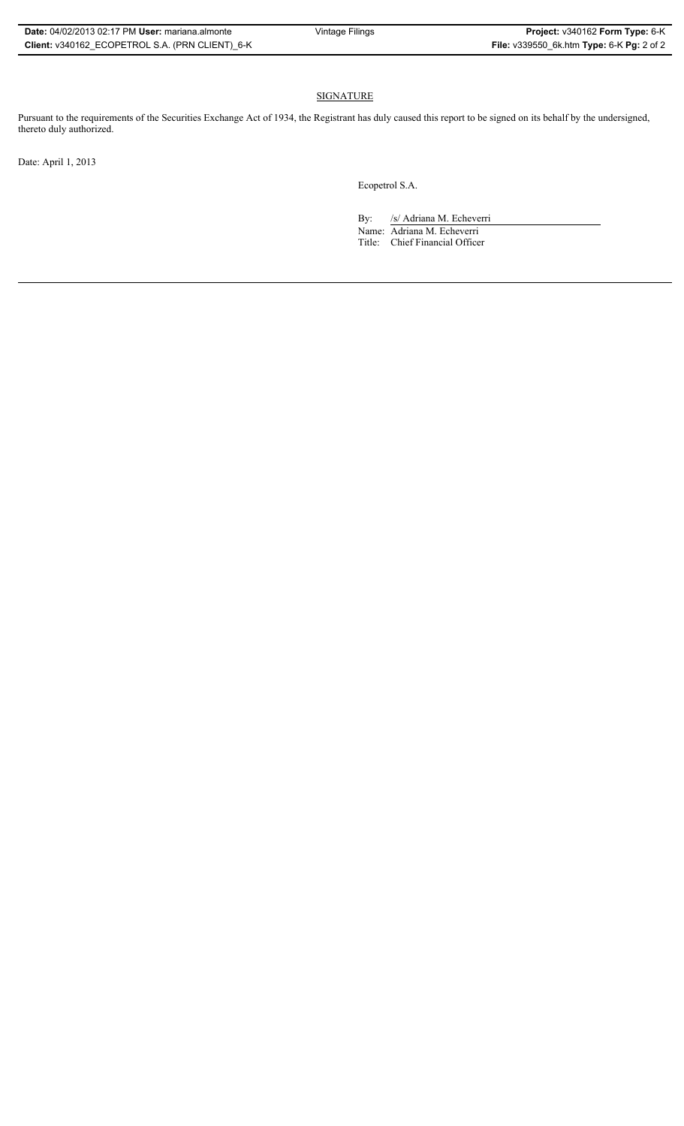### SIGNATURE

Pursuant to the requirements of the Securities Exchange Act of 1934, the Registrant has duly caused this report to be signed on its behalf by the undersigned, thereto duly authorized.

Date: April 1, 2013

Ecopetrol S.A.

By: /s/ Adriana M. Echeverri

Name: Adriana M. Echeverri Title: Chief Financial Officer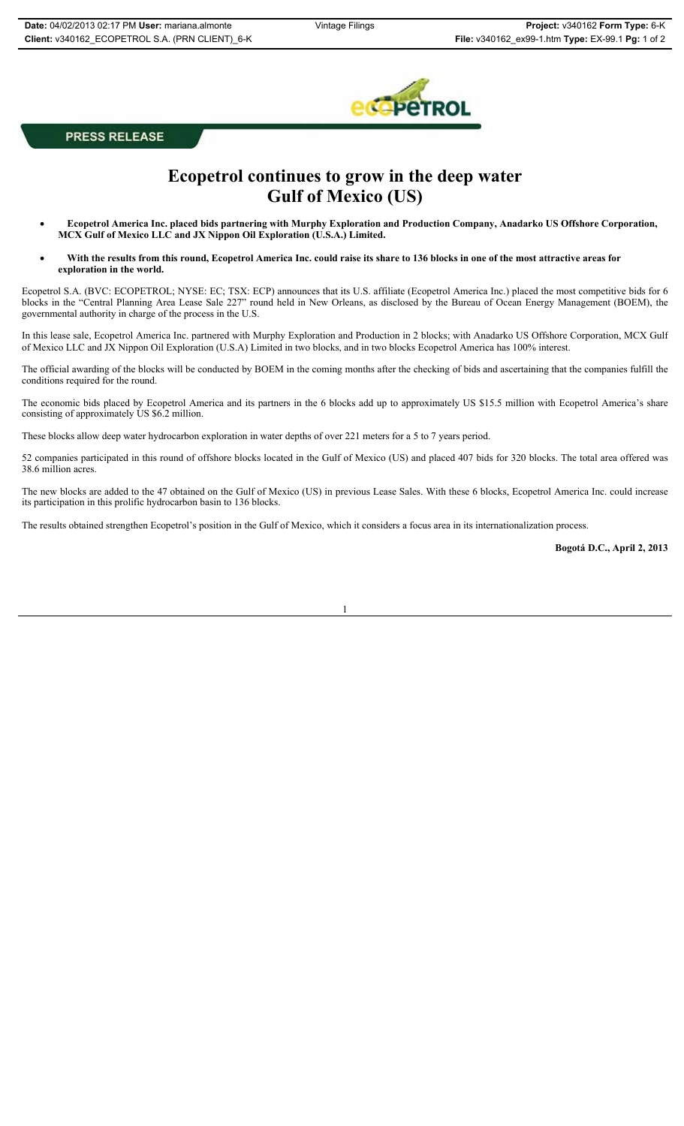

**PRESS RELEASE** 

# **Ecopetrol continues to grow in the deep water Gulf of Mexico (US)**

- x **Ecopetrol America Inc. placed bids partnering with Murphy Exploration and Production Company, Anadarko US Offshore Corporation, MCX Gulf of Mexico LLC and JX Nippon Oil Exploration (U.S.A.) Limited.**
- With the results from this round, Ecopetrol America Inc. could raise its share to 136 blocks in one of the most attractive areas for **exploration in the world.**

Ecopetrol S.A. (BVC: ECOPETROL; NYSE: EC; TSX: ECP) announces that its U.S. affiliate (Ecopetrol America Inc.) placed the most competitive bids for 6 blocks in the "Central Planning Area Lease Sale 227" round held in New Orleans, as disclosed by the Bureau of Ocean Energy Management (BOEM), the governmental authority in charge of the process in the U.S.

In this lease sale, Ecopetrol America Inc. partnered with Murphy Exploration and Production in 2 blocks; with Anadarko US Offshore Corporation, MCX Gulf of Mexico LLC and JX Nippon Oil Exploration (U.S.A) Limited in two blocks, and in two blocks Ecopetrol America has 100% interest.

The official awarding of the blocks will be conducted by BOEM in the coming months after the checking of bids and ascertaining that the companies fulfill the conditions required for the round.

The economic bids placed by Ecopetrol America and its partners in the 6 blocks add up to approximately US \$15.5 million with Ecopetrol America's share consisting of approximately US \$6.2 million.

These blocks allow deep water hydrocarbon exploration in water depths of over 221 meters for a 5 to 7 years period.

52 companies participated in this round of offshore blocks located in the Gulf of Mexico (US) and placed 407 bids for 320 blocks. The total area offered was 38.6 million acres.

The new blocks are added to the 47 obtained on the Gulf of Mexico (US) in previous Lease Sales. With these 6 blocks, Ecopetrol America Inc. could increase its participation in this prolific hydrocarbon basin to 136 blocks.

The results obtained strengthen Ecopetrol's position in the Gulf of Mexico, which it considers a focus area in its internationalization process.

**Bogotá D.C., April 2, 2013**

1